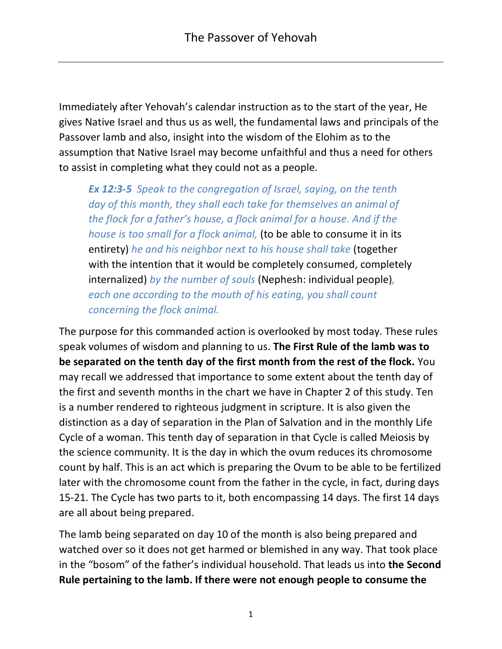Immediately after Yehovah's calendar instruction as to the start of the year, He gives Native Israel and thus us as well, the fundamental laws and principals of the Passover lamb and also, insight into the wisdom of the Elohim as to the assumption that Native Israel may become unfaithful and thus a need for others to assist in completing what they could not as a people.

*Ex 12:3-5 Speak to the congregation of Israel, saying, on the tenth day of this month, they shall each take for themselves an animal of the flock for a father's house, a flock animal for a house. And if the house is too small for a flock animal,* (to be able to consume it in its entirety) *he and his neighbor next to his house shall take* (together with the intention that it would be completely consumed, completely internalized) *by the number of souls* (Nephesh: individual people)*, each one according to the mouth of his eating, you shall count concerning the flock animal.*

The purpose for this commanded action is overlooked by most today. These rules speak volumes of wisdom and planning to us. **The First Rule of the lamb was to be separated on the tenth day of the first month from the rest of the flock.** You may recall we addressed that importance to some extent about the tenth day of the first and seventh months in the chart we have in Chapter 2 of this study. Ten is a number rendered to righteous judgment in scripture. It is also given the distinction as a day of separation in the Plan of Salvation and in the monthly Life Cycle of a woman. This tenth day of separation in that Cycle is called Meiosis by the science community. It is the day in which the ovum reduces its chromosome count by half. This is an act which is preparing the Ovum to be able to be fertilized later with the chromosome count from the father in the cycle, in fact, during days 15-21. The Cycle has two parts to it, both encompassing 14 days. The first 14 days are all about being prepared.

The lamb being separated on day 10 of the month is also being prepared and watched over so it does not get harmed or blemished in any way. That took place in the "bosom" of the father's individual household. That leads us into **the Second Rule pertaining to the lamb. If there were not enough people to consume the**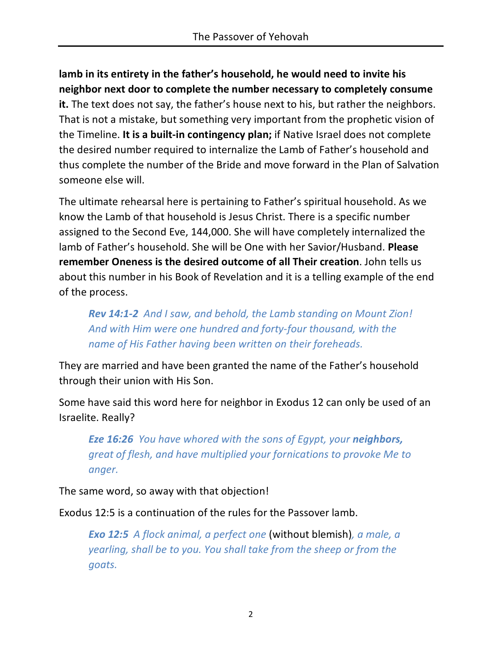**lamb in its entirety in the father's household, he would need to invite his neighbor next door to complete the number necessary to completely consume it.** The text does not say, the father's house next to his, but rather the neighbors. That is not a mistake, but something very important from the prophetic vision of the Timeline. **It is a built-in contingency plan;** if Native Israel does not complete the desired number required to internalize the Lamb of Father's household and thus complete the number of the Bride and move forward in the Plan of Salvation someone else will.

The ultimate rehearsal here is pertaining to Father's spiritual household. As we know the Lamb of that household is Jesus Christ. There is a specific number assigned to the Second Eve, 144,000. She will have completely internalized the lamb of Father's household. She will be One with her Savior/Husband. **Please remember Oneness is the desired outcome of all Their creation**. John tells us about this number in his Book of Revelation and it is a telling example of the end of the process.

*Rev 14:1-2 And I saw, and behold, the Lamb standing on Mount Zion! And with Him were one hundred and forty-four thousand, with the name of His Father having been written on their foreheads.*

They are married and have been granted the name of the Father's household through their union with His Son.

Some have said this word here for neighbor in Exodus 12 can only be used of an Israelite. Really?

*Eze 16:26 You have whored with the sons of Egypt, your neighbors, great of flesh, and have multiplied your fornications to provoke Me to anger.*

The same word, so away with that objection!

Exodus 12:5 is a continuation of the rules for the Passover lamb.

*Exo 12:5 A flock animal, a perfect one* (without blemish)*, a male, a yearling, shall be to you. You shall take from the sheep or from the goats.*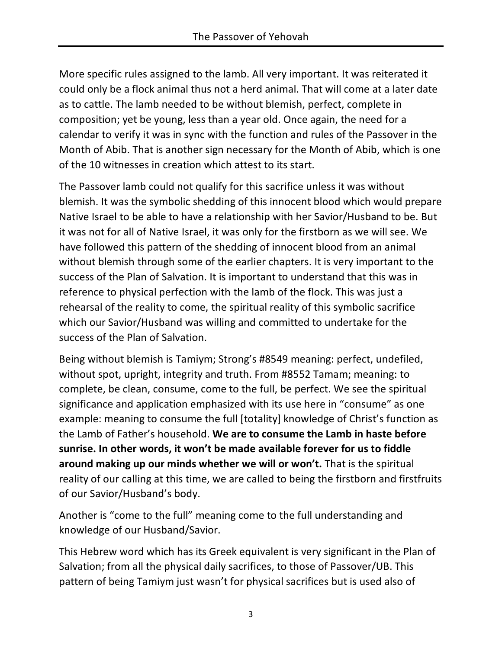More specific rules assigned to the lamb. All very important. It was reiterated it could only be a flock animal thus not a herd animal. That will come at a later date as to cattle. The lamb needed to be without blemish, perfect, complete in composition; yet be young, less than a year old. Once again, the need for a calendar to verify it was in sync with the function and rules of the Passover in the Month of Abib. That is another sign necessary for the Month of Abib, which is one of the 10 witnesses in creation which attest to its start.

The Passover lamb could not qualify for this sacrifice unless it was without blemish. It was the symbolic shedding of this innocent blood which would prepare Native Israel to be able to have a relationship with her Savior/Husband to be. But it was not for all of Native Israel, it was only for the firstborn as we will see. We have followed this pattern of the shedding of innocent blood from an animal without blemish through some of the earlier chapters. It is very important to the success of the Plan of Salvation. It is important to understand that this was in reference to physical perfection with the lamb of the flock. This was just a rehearsal of the reality to come, the spiritual reality of this symbolic sacrifice which our Savior/Husband was willing and committed to undertake for the success of the Plan of Salvation.

Being without blemish is Tamiym; Strong's #8549 meaning: perfect, undefiled, without spot, upright, integrity and truth. From #8552 Tamam; meaning: to complete, be clean, consume, come to the full, be perfect. We see the spiritual significance and application emphasized with its use here in "consume" as one example: meaning to consume the full [totality] knowledge of Christ's function as the Lamb of Father's household. **We are to consume the Lamb in haste before sunrise. In other words, it won't be made available forever for us to fiddle around making up our minds whether we will or won't.** That is the spiritual reality of our calling at this time, we are called to being the firstborn and firstfruits of our Savior/Husband's body.

Another is "come to the full" meaning come to the full understanding and knowledge of our Husband/Savior.

This Hebrew word which has its Greek equivalent is very significant in the Plan of Salvation; from all the physical daily sacrifices, to those of Passover/UB. This pattern of being Tamiym just wasn't for physical sacrifices but is used also of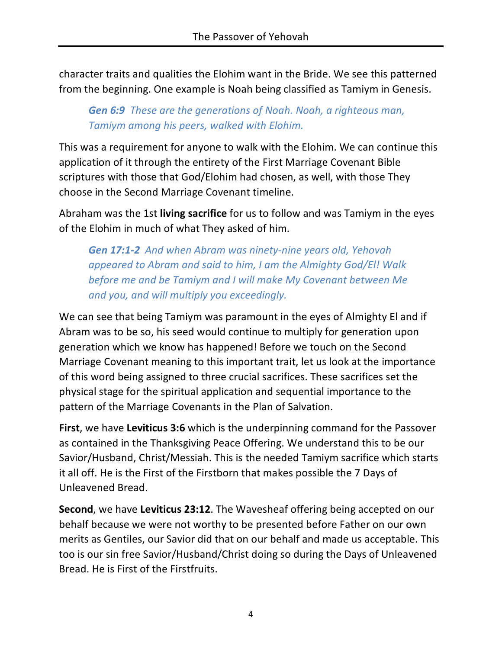character traits and qualities the Elohim want in the Bride. We see this patterned from the beginning. One example is Noah being classified as Tamiym in Genesis.

### *Gen 6:9 These are the generations of Noah. Noah, a righteous man, Tamiym among his peers, walked with Elohim.*

This was a requirement for anyone to walk with the Elohim. We can continue this application of it through the entirety of the First Marriage Covenant Bible scriptures with those that God/Elohim had chosen, as well, with those They choose in the Second Marriage Covenant timeline.

Abraham was the 1st **living sacrifice** for us to follow and was Tamiym in the eyes of the Elohim in much of what They asked of him.

*Gen 17:1-2 And when Abram was ninety-nine years old, Yehovah appeared to Abram and said to him, I am the Almighty God/El! Walk before me and be Tamiym and I will make My Covenant between Me and you, and will multiply you exceedingly.*

We can see that being Tamiym was paramount in the eyes of Almighty El and if Abram was to be so, his seed would continue to multiply for generation upon generation which we know has happened! Before we touch on the Second Marriage Covenant meaning to this important trait, let us look at the importance of this word being assigned to three crucial sacrifices. These sacrifices set the physical stage for the spiritual application and sequential importance to the pattern of the Marriage Covenants in the Plan of Salvation.

**First**, we have **Leviticus 3:6** which is the underpinning command for the Passover as contained in the Thanksgiving Peace Offering. We understand this to be our Savior/Husband, Christ/Messiah. This is the needed Tamiym sacrifice which starts it all off. He is the First of the Firstborn that makes possible the 7 Days of Unleavened Bread.

**Second**, we have **Leviticus 23:12**. The Wavesheaf offering being accepted on our behalf because we were not worthy to be presented before Father on our own merits as Gentiles, our Savior did that on our behalf and made us acceptable. This too is our sin free Savior/Husband/Christ doing so during the Days of Unleavened Bread. He is First of the Firstfruits.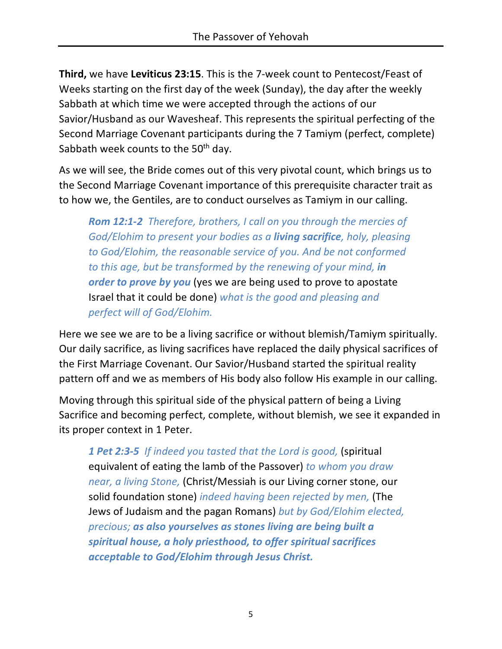**Third,** we have **Leviticus 23:15**. This is the 7-week count to Pentecost/Feast of Weeks starting on the first day of the week (Sunday), the day after the weekly Sabbath at which time we were accepted through the actions of our Savior/Husband as our Wavesheaf. This represents the spiritual perfecting of the Second Marriage Covenant participants during the 7 Tamiym (perfect, complete) Sabbath week counts to the 50<sup>th</sup> day.

As we will see, the Bride comes out of this very pivotal count, which brings us to the Second Marriage Covenant importance of this prerequisite character trait as to how we, the Gentiles, are to conduct ourselves as Tamiym in our calling.

*Rom 12:1-2 Therefore, brothers, I call on you through the mercies of God/Elohim to present your bodies as a living sacrifice, holy, pleasing to God/Elohim, the reasonable service of you. And be not conformed to this age, but be transformed by the renewing of your mind, in order to prove by you* (yes we are being used to prove to apostate Israel that it could be done) *what is the good and pleasing and perfect will of God/Elohim.*

Here we see we are to be a living sacrifice or without blemish/Tamiym spiritually. Our daily sacrifice, as living sacrifices have replaced the daily physical sacrifices of the First Marriage Covenant. Our Savior/Husband started the spiritual reality pattern off and we as members of His body also follow His example in our calling.

Moving through this spiritual side of the physical pattern of being a Living Sacrifice and becoming perfect, complete, without blemish, we see it expanded in its proper context in 1 Peter.

*1 Pet 2:3-5 If indeed you tasted that the Lord is good,* (spiritual equivalent of eating the lamb of the Passover) *to whom you draw near, a living Stone,* (Christ/Messiah is our Living corner stone, our solid foundation stone) *indeed having been rejected by men,* (The Jews of Judaism and the pagan Romans) *but by God/Elohim elected, precious; as also yourselves as stones living are being built a spiritual house, a holy priesthood, to offer spiritual sacrifices acceptable to God/Elohim through Jesus Christ.*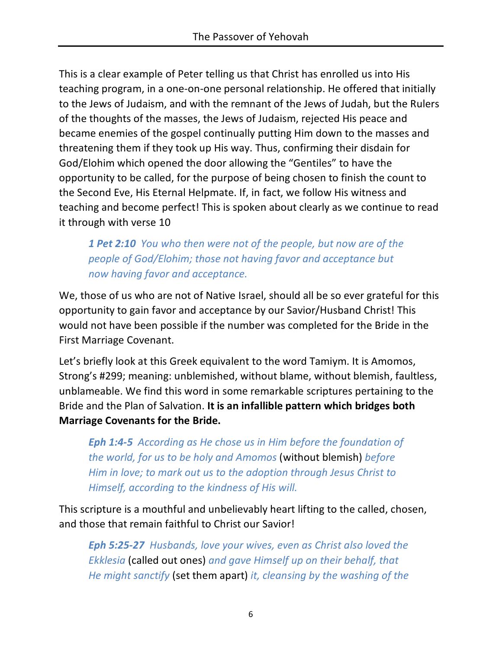This is a clear example of Peter telling us that Christ has enrolled us into His teaching program, in a one-on-one personal relationship. He offered that initially to the Jews of Judaism, and with the remnant of the Jews of Judah, but the Rulers of the thoughts of the masses, the Jews of Judaism, rejected His peace and became enemies of the gospel continually putting Him down to the masses and threatening them if they took up His way. Thus, confirming their disdain for God/Elohim which opened the door allowing the "Gentiles" to have the opportunity to be called, for the purpose of being chosen to finish the count to the Second Eve, His Eternal Helpmate. If, in fact, we follow His witness and teaching and become perfect! This is spoken about clearly as we continue to read it through with verse 10

*1 Pet 2:10 You who then were not of the people, but now are of the people of God/Elohim; those not having favor and acceptance but now having favor and acceptance.*

We, those of us who are not of Native Israel, should all be so ever grateful for this opportunity to gain favor and acceptance by our Savior/Husband Christ! This would not have been possible if the number was completed for the Bride in the First Marriage Covenant.

Let's briefly look at this Greek equivalent to the word Tamiym. It is Amomos, Strong's #299; meaning: unblemished, without blame, without blemish, faultless, unblameable. We find this word in some remarkable scriptures pertaining to the Bride and the Plan of Salvation. **It is an infallible pattern which bridges both Marriage Covenants for the Bride.**

*Eph 1:4-5 According as He chose us in Him before the foundation of the world, for us to be holy and Amomos* (without blemish) *before Him in love; to mark out us to the adoption through Jesus Christ to Himself, according to the kindness of His will.*

This scripture is a mouthful and unbelievably heart lifting to the called, chosen, and those that remain faithful to Christ our Savior!

*Eph 5:25-27 Husbands, love your wives, even as Christ also loved the Ekklesia* (called out ones) *and gave Himself up on their behalf, that He might sanctify* (set them apart) *it, cleansing by the washing of the*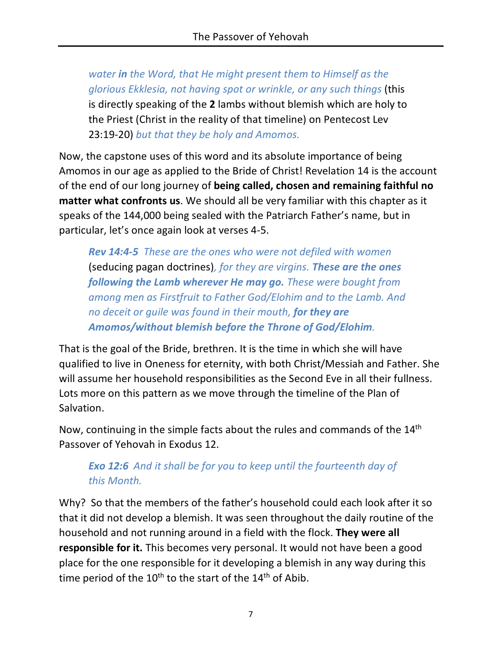*water in the Word, that He might present them to Himself as the glorious Ekklesia, not having spot or wrinkle, or any such things* (this is directly speaking of the **2** lambs without blemish which are holy to the Priest (Christ in the reality of that timeline) on Pentecost Lev 23:19-20) *but that they be holy and Amomos.*

Now, the capstone uses of this word and its absolute importance of being Amomos in our age as applied to the Bride of Christ! Revelation 14 is the account of the end of our long journey of **being called, chosen and remaining faithful no matter what confronts us**. We should all be very familiar with this chapter as it speaks of the 144,000 being sealed with the Patriarch Father's name, but in particular, let's once again look at verses 4-5.

*Rev 14:4-5 These are the ones who were not defiled with women*  (seducing pagan doctrines)*, for they are virgins. These are the ones following the Lamb wherever He may go. These were bought from among men as Firstfruit to Father God/Elohim and to the Lamb. And no deceit or guile was found in their mouth, for they are Amomos/without blemish before the Throne of God/Elohim.*

That is the goal of the Bride, brethren. It is the time in which she will have qualified to live in Oneness for eternity, with both Christ/Messiah and Father. She will assume her household responsibilities as the Second Eve in all their fullness. Lots more on this pattern as we move through the timeline of the Plan of Salvation.

Now, continuing in the simple facts about the rules and commands of the 14th Passover of Yehovah in Exodus 12.

# *Exo 12:6 And it shall be for you to keep until the fourteenth day of this Month.*

Why? So that the members of the father's household could each look after it so that it did not develop a blemish. It was seen throughout the daily routine of the household and not running around in a field with the flock. **They were all responsible for it.** This becomes very personal. It would not have been a good place for the one responsible for it developing a blemish in any way during this time period of the  $10^{th}$  to the start of the  $14^{th}$  of Abib.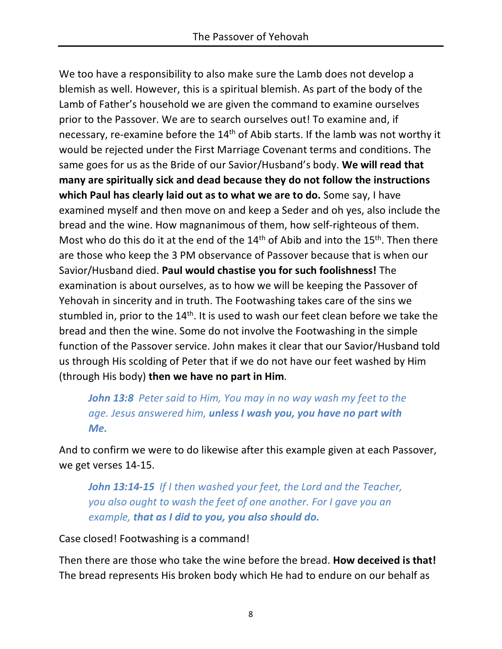We too have a responsibility to also make sure the Lamb does not develop a blemish as well. However, this is a spiritual blemish. As part of the body of the Lamb of Father's household we are given the command to examine ourselves prior to the Passover. We are to search ourselves out! To examine and, if necessary, re-examine before the 14<sup>th</sup> of Abib starts. If the lamb was not worthy it would be rejected under the First Marriage Covenant terms and conditions. The same goes for us as the Bride of our Savior/Husband's body. **We will read that many are spiritually sick and dead because they do not follow the instructions which Paul has clearly laid out as to what we are to do.** Some say, I have examined myself and then move on and keep a Seder and oh yes, also include the bread and the wine. How magnanimous of them, how self-righteous of them. Most who do this do it at the end of the  $14<sup>th</sup>$  of Abib and into the  $15<sup>th</sup>$ . Then there are those who keep the 3 PM observance of Passover because that is when our Savior/Husband died. **Paul would chastise you for such foolishness!** The examination is about ourselves, as to how we will be keeping the Passover of Yehovah in sincerity and in truth. The Footwashing takes care of the sins we stumbled in, prior to the 14<sup>th</sup>. It is used to wash our feet clean before we take the bread and then the wine. Some do not involve the Footwashing in the simple function of the Passover service. John makes it clear that our Savior/Husband told us through His scolding of Peter that if we do not have our feet washed by Him (through His body) **then we have no part in Him**.

*John 13:8 Peter said to Him, You may in no way wash my feet to the age. Jesus answered him, unless I wash you, you have no part with Me.*

And to confirm we were to do likewise after this example given at each Passover, we get verses 14-15.

*John 13:14-15 If I then washed your feet, the Lord and the Teacher, you also ought to wash the feet of one another. For I gave you an example, that as I did to you, you also should do.*

Case closed! Footwashing is a command!

Then there are those who take the wine before the bread. **How deceived is that!** The bread represents His broken body which He had to endure on our behalf as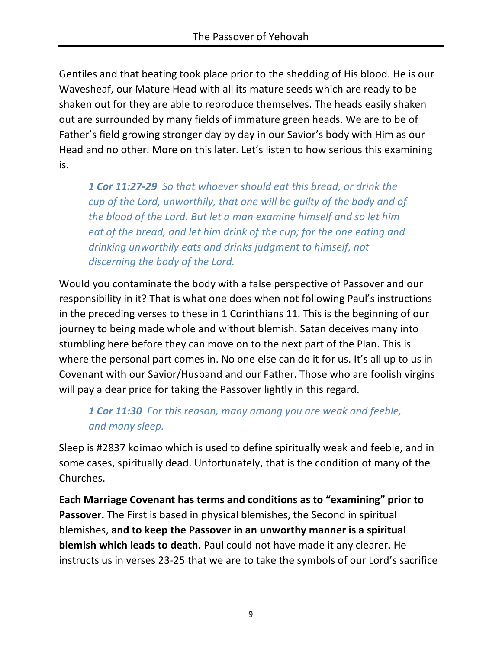Gentiles and that beating took place prior to the shedding of His blood. He is our Wavesheaf, our Mature Head with all its mature seeds which are ready to be shaken out for they are able to reproduce themselves. The heads easily shaken out are surrounded by many fields of immature green heads. We are to be of Father's field growing stronger day by day in our Savior's body with Him as our Head and no other. More on this later. Let's listen to how serious this examining is.

*1 Cor 11:27-29 So that whoever should eat this bread, or drink the cup of the Lord, unworthily, that one will be guilty of the body and of the blood of the Lord. But let a man examine himself and so let him eat of the bread, and let him drink of the cup; for the one eating and drinking unworthily eats and drinks judgment to himself, not discerning the body of the Lord.*

Would you contaminate the body with a false perspective of Passover and our responsibility in it? That is what one does when not following Paul's instructions in the preceding verses to these in 1 Corinthians 11. This is the beginning of our journey to being made whole and without blemish. Satan deceives many into stumbling here before they can move on to the next part of the Plan. This is where the personal part comes in. No one else can do it for us. It's all up to us in Covenant with our Savior/Husband and our Father. Those who are foolish virgins will pay a dear price for taking the Passover lightly in this regard.

# *1 Cor 11:30 For this reason, many among you are weak and feeble, and many sleep.*

Sleep is #2837 koimao which is used to define spiritually weak and feeble, and in some cases, spiritually dead. Unfortunately, that is the condition of many of the Churches.

**Each Marriage Covenant has terms and conditions as to "examining" prior to Passover.** The First is based in physical blemishes, the Second in spiritual blemishes, **and to keep the Passover in an unworthy manner is a spiritual blemish which leads to death.** Paul could not have made it any clearer. He instructs us in verses 23-25 that we are to take the symbols of our Lord's sacrifice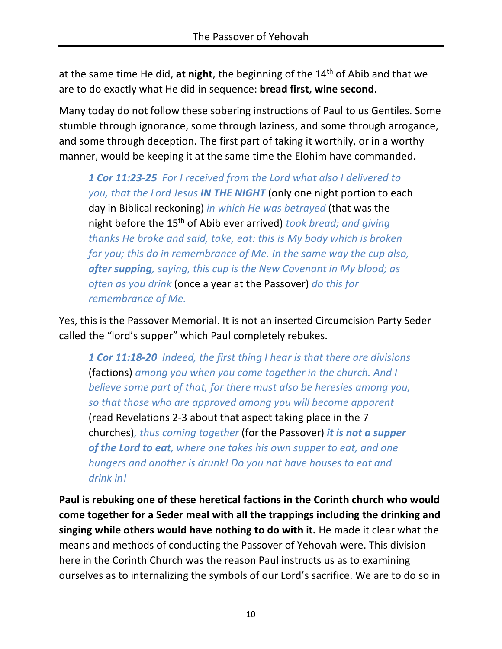at the same time He did, **at night**, the beginning of the 14th of Abib and that we are to do exactly what He did in sequence: **bread first, wine second.**

Many today do not follow these sobering instructions of Paul to us Gentiles. Some stumble through ignorance, some through laziness, and some through arrogance, and some through deception. The first part of taking it worthily, or in a worthy manner, would be keeping it at the same time the Elohim have commanded.

*1 Cor 11:23-25 For I received from the Lord what also I delivered to you, that the Lord Jesus IN THE NIGHT* (only one night portion to each day in Biblical reckoning) *in which He was betrayed* (that was the night before the 15th of Abib ever arrived) *took bread; and giving thanks He broke and said, take, eat: this is My body which is broken for you; this do in remembrance of Me. In the same way the cup also, after supping, saying, this cup is the New Covenant in My blood; as often as you drink* (once a year at the Passover) *do this for remembrance of Me.*

Yes, this is the Passover Memorial. It is not an inserted Circumcision Party Seder called the "lord's supper" which Paul completely rebukes.

*1 Cor 11:18-20 Indeed, the first thing I hear is that there are divisions*  (factions) *among you when you come together in the church. And I believe some part of that, for there must also be heresies among you, so that those who are approved among you will become apparent*  (read Revelations 2-3 about that aspect taking place in the 7 churches)*, thus coming together* (for the Passover) *it is not a supper of the Lord to eat, where one takes his own supper to eat, and one hungers and another is drunk! Do you not have houses to eat and drink in!*

**Paul is rebuking one of these heretical factions in the Corinth church who would come together for a Seder meal with all the trappings including the drinking and singing while others would have nothing to do with it.** He made it clear what the means and methods of conducting the Passover of Yehovah were. This division here in the Corinth Church was the reason Paul instructs us as to examining ourselves as to internalizing the symbols of our Lord's sacrifice. We are to do so in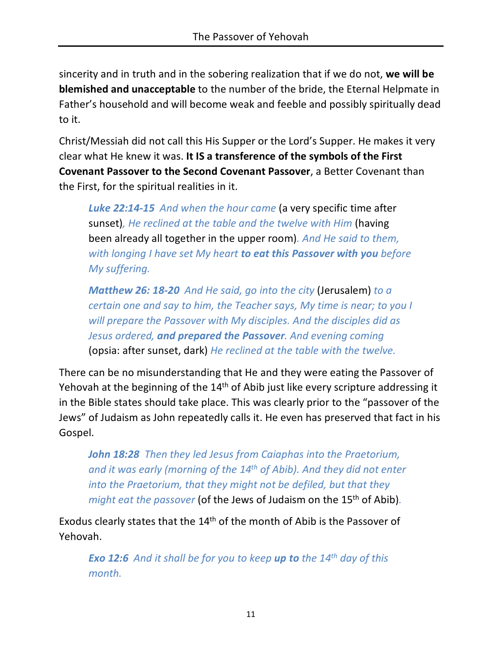sincerity and in truth and in the sobering realization that if we do not, **we will be blemished and unacceptable** to the number of the bride, the Eternal Helpmate in Father's household and will become weak and feeble and possibly spiritually dead to it.

Christ/Messiah did not call this His Supper or the Lord's Supper. He makes it very clear what He knew it was. **It IS a transference of the symbols of the First Covenant Passover to the Second Covenant Passover**, a Better Covenant than the First, for the spiritual realities in it.

*Luke 22:14-15 And when the hour came* (a very specific time after sunset)*, He reclined at the table and the twelve with Him* (having been already all together in the upper room)*. And He said to them, with longing I have set My heart to eat this Passover with you before My suffering.*

*Matthew 26: 18-20 And He said, go into the city* (Jerusalem) *to a certain one and say to him, the Teacher says, My time is near; to you I will prepare the Passover with My disciples. And the disciples did as Jesus ordered, and prepared the Passover. And evening coming*  (opsia: after sunset, dark) *He reclined at the table with the twelve.*

There can be no misunderstanding that He and they were eating the Passover of Yehovah at the beginning of the 14<sup>th</sup> of Abib just like every scripture addressing it in the Bible states should take place. This was clearly prior to the "passover of the Jews" of Judaism as John repeatedly calls it. He even has preserved that fact in his Gospel.

*John 18:28 Then they led Jesus from Caiaphas into the Praetorium, and it was early (morning of the 14th of Abib). And they did not enter into the Praetorium, that they might not be defiled, but that they might eat the passover* (of the Jews of Judaism on the 15<sup>th</sup> of Abib).

Exodus clearly states that the 14th of the month of Abib is the Passover of Yehovah.

*Exo 12:6 And it shall be for you to keep up to the 14th day of this month.*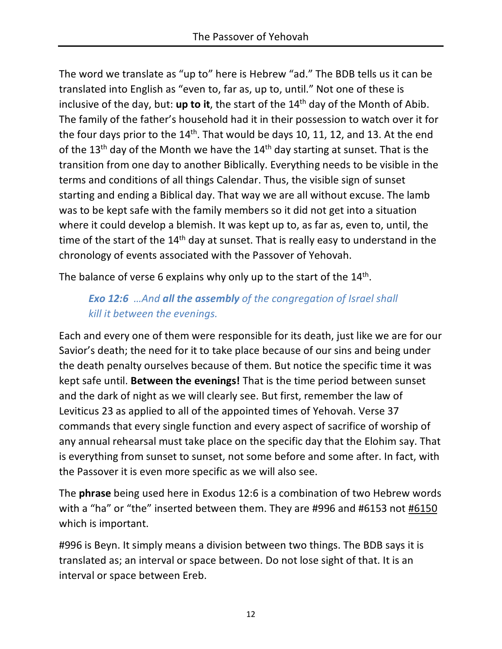The word we translate as "up to" here is Hebrew "ad." The BDB tells us it can be translated into English as "even to, far as, up to, until." Not one of these is inclusive of the day, but: **up to it**, the start of the 14th day of the Month of Abib. The family of the father's household had it in their possession to watch over it for the four days prior to the  $14<sup>th</sup>$ . That would be days 10, 11, 12, and 13. At the end of the 13<sup>th</sup> day of the Month we have the  $14<sup>th</sup>$  day starting at sunset. That is the transition from one day to another Biblically. Everything needs to be visible in the terms and conditions of all things Calendar. Thus, the visible sign of sunset starting and ending a Biblical day. That way we are all without excuse. The lamb was to be kept safe with the family members so it did not get into a situation where it could develop a blemish. It was kept up to, as far as, even to, until, the time of the start of the  $14<sup>th</sup>$  day at sunset. That is really easy to understand in the chronology of events associated with the Passover of Yehovah.

The balance of verse 6 explains why only up to the start of the  $14<sup>th</sup>$ .

### *Exo 12:6 …And all the assembly of the congregation of Israel shall kill it between the evenings.*

Each and every one of them were responsible for its death, just like we are for our Savior's death; the need for it to take place because of our sins and being under the death penalty ourselves because of them. But notice the specific time it was kept safe until. **Between the evenings!** That is the time period between sunset and the dark of night as we will clearly see. But first, remember the law of Leviticus 23 as applied to all of the appointed times of Yehovah. Verse 37 commands that every single function and every aspect of sacrifice of worship of any annual rehearsal must take place on the specific day that the Elohim say. That is everything from sunset to sunset, not some before and some after. In fact, with the Passover it is even more specific as we will also see.

The **phrase** being used here in Exodus 12:6 is a combination of two Hebrew words with a "ha" or "the" inserted between them. They are #996 and #6153 not #6150 which is important.

#996 is Beyn. It simply means a division between two things. The BDB says it is translated as; an interval or space between. Do not lose sight of that. It is an interval or space between Ereb.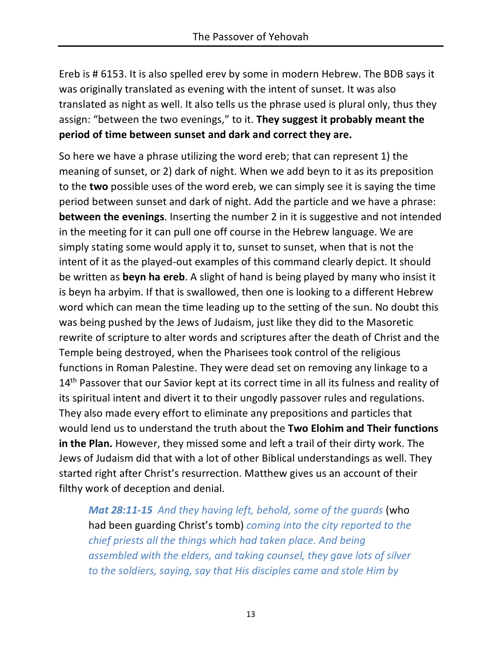Ereb is # 6153. It is also spelled erev by some in modern Hebrew. The BDB says it was originally translated as evening with the intent of sunset. It was also translated as night as well. It also tells us the phrase used is plural only, thus they assign: "between the two evenings," to it. **They suggest it probably meant the period of time between sunset and dark and correct they are.**

So here we have a phrase utilizing the word ereb; that can represent 1) the meaning of sunset, or 2) dark of night. When we add beyn to it as its preposition to the **two** possible uses of the word ereb, we can simply see it is saying the time period between sunset and dark of night. Add the particle and we have a phrase: **between the evenings**. Inserting the number 2 in it is suggestive and not intended in the meeting for it can pull one off course in the Hebrew language. We are simply stating some would apply it to, sunset to sunset, when that is not the intent of it as the played-out examples of this command clearly depict. It should be written as **beyn ha ereb**. A slight of hand is being played by many who insist it is beyn ha arbyim. If that is swallowed, then one is looking to a different Hebrew word which can mean the time leading up to the setting of the sun. No doubt this was being pushed by the Jews of Judaism, just like they did to the Masoretic rewrite of scripture to alter words and scriptures after the death of Christ and the Temple being destroyed, when the Pharisees took control of the religious functions in Roman Palestine. They were dead set on removing any linkage to a 14<sup>th</sup> Passover that our Savior kept at its correct time in all its fulness and reality of its spiritual intent and divert it to their ungodly passover rules and regulations. They also made every effort to eliminate any prepositions and particles that would lend us to understand the truth about the **Two Elohim and Their functions in the Plan.** However, they missed some and left a trail of their dirty work. The Jews of Judaism did that with a lot of other Biblical understandings as well. They started right after Christ's resurrection. Matthew gives us an account of their filthy work of deception and denial.

*Mat 28:11-15 And they having left, behold, some of the guards* (who had been guarding Christ's tomb) *coming into the city reported to the chief priests all the things which had taken place. And being assembled with the elders, and taking counsel, they gave lots of silver to the soldiers, saying, say that His disciples came and stole Him by*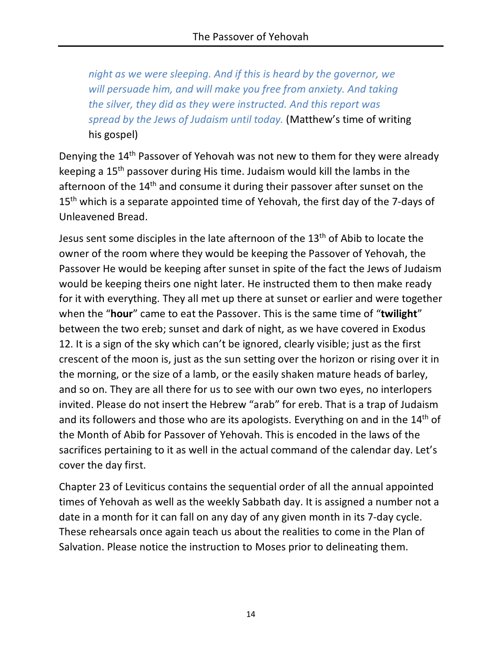*night as we were sleeping. And if this is heard by the governor, we will persuade him, and will make you free from anxiety. And taking the silver, they did as they were instructed. And this report was spread by the Jews of Judaism until today.* (Matthew's time of writing his gospel)

Denying the 14th Passover of Yehovah was not new to them for they were already keeping a 15th passover during His time. Judaism would kill the lambs in the afternoon of the 14<sup>th</sup> and consume it during their passover after sunset on the 15<sup>th</sup> which is a separate appointed time of Yehovah, the first day of the 7-days of Unleavened Bread.

Jesus sent some disciples in the late afternoon of the 13<sup>th</sup> of Abib to locate the owner of the room where they would be keeping the Passover of Yehovah, the Passover He would be keeping after sunset in spite of the fact the Jews of Judaism would be keeping theirs one night later. He instructed them to then make ready for it with everything. They all met up there at sunset or earlier and were together when the "**hour**" came to eat the Passover. This is the same time of "**twilight**" between the two ereb; sunset and dark of night, as we have covered in Exodus 12. It is a sign of the sky which can't be ignored, clearly visible; just as the first crescent of the moon is, just as the sun setting over the horizon or rising over it in the morning, or the size of a lamb, or the easily shaken mature heads of barley, and so on. They are all there for us to see with our own two eyes, no interlopers invited. Please do not insert the Hebrew "arab" for ereb. That is a trap of Judaism and its followers and those who are its apologists. Everything on and in the 14th of the Month of Abib for Passover of Yehovah. This is encoded in the laws of the sacrifices pertaining to it as well in the actual command of the calendar day. Let's cover the day first.

Chapter 23 of Leviticus contains the sequential order of all the annual appointed times of Yehovah as well as the weekly Sabbath day. It is assigned a number not a date in a month for it can fall on any day of any given month in its 7-day cycle. These rehearsals once again teach us about the realities to come in the Plan of Salvation. Please notice the instruction to Moses prior to delineating them.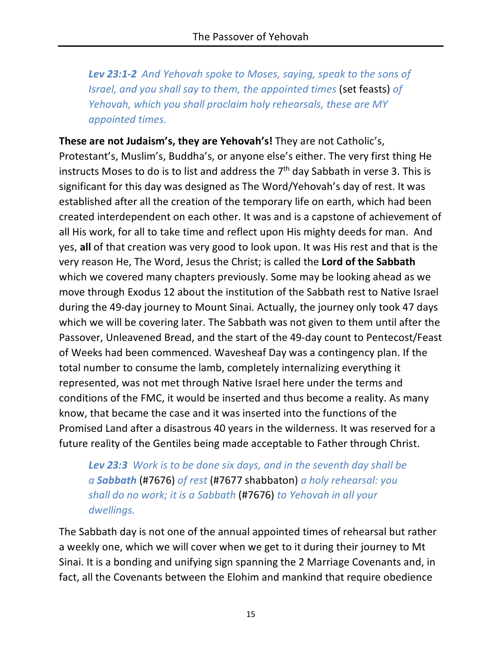*Lev 23:1-2 And Yehovah spoke to Moses, saying, speak to the sons of Israel, and you shall say to them, the appointed times* (set feasts) *of Yehovah, which you shall proclaim holy rehearsals, these are MY appointed times.*

**These are not Judaism's, they are Yehovah's!** They are not Catholic's, Protestant's, Muslim's, Buddha's, or anyone else's either. The very first thing He instructs Moses to do is to list and address the  $7<sup>th</sup>$  day Sabbath in verse 3. This is significant for this day was designed as The Word/Yehovah's day of rest. It was established after all the creation of the temporary life on earth, which had been created interdependent on each other. It was and is a capstone of achievement of all His work, for all to take time and reflect upon His mighty deeds for man. And yes, **all** of that creation was very good to look upon. It was His rest and that is the very reason He, The Word, Jesus the Christ; is called the **Lord of the Sabbath** which we covered many chapters previously. Some may be looking ahead as we move through Exodus 12 about the institution of the Sabbath rest to Native Israel during the 49-day journey to Mount Sinai. Actually, the journey only took 47 days which we will be covering later. The Sabbath was not given to them until after the Passover, Unleavened Bread, and the start of the 49-day count to Pentecost/Feast of Weeks had been commenced. Wavesheaf Day was a contingency plan. If the total number to consume the lamb, completely internalizing everything it represented, was not met through Native Israel here under the terms and conditions of the FMC, it would be inserted and thus become a reality. As many know, that became the case and it was inserted into the functions of the Promised Land after a disastrous 40 years in the wilderness. It was reserved for a future reality of the Gentiles being made acceptable to Father through Christ.

*Lev 23:3 Work is to be done six days, and in the seventh day shall be a Sabbath* (#7676) *of rest* (#7677 shabbaton) *a holy rehearsal: you shall do no work; it is a Sabbath* (#7676) *to Yehovah in all your dwellings.*

The Sabbath day is not one of the annual appointed times of rehearsal but rather a weekly one, which we will cover when we get to it during their journey to Mt Sinai. It is a bonding and unifying sign spanning the 2 Marriage Covenants and, in fact, all the Covenants between the Elohim and mankind that require obedience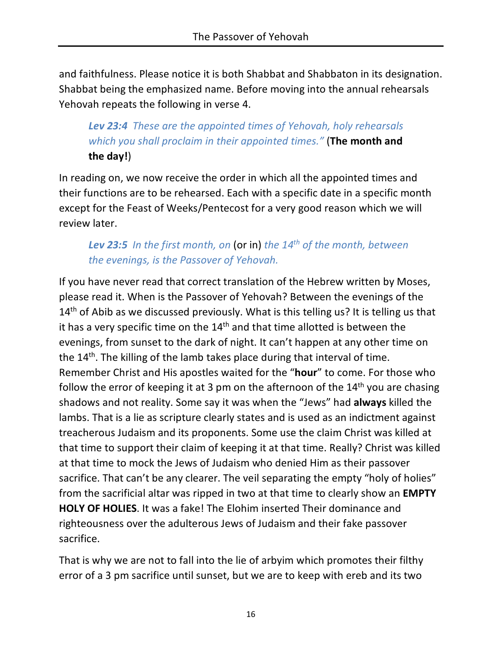and faithfulness. Please notice it is both Shabbat and Shabbaton in its designation. Shabbat being the emphasized name. Before moving into the annual rehearsals Yehovah repeats the following in verse 4.

# *Lev 23:4 These are the appointed times of Yehovah, holy rehearsals which you shall proclaim in their appointed times."* (**The month and the day!**)

In reading on, we now receive the order in which all the appointed times and their functions are to be rehearsed. Each with a specific date in a specific month except for the Feast of Weeks/Pentecost for a very good reason which we will review later.

# *Lev 23:5 In the first month, on* (or in) *the 14th of the month, between the evenings, is the Passover of Yehovah.*

If you have never read that correct translation of the Hebrew written by Moses, please read it. When is the Passover of Yehovah? Between the evenings of the  $14<sup>th</sup>$  of Abib as we discussed previously. What is this telling us? It is telling us that it has a very specific time on the  $14<sup>th</sup>$  and that time allotted is between the evenings, from sunset to the dark of night. It can't happen at any other time on the 14<sup>th</sup>. The killing of the lamb takes place during that interval of time. Remember Christ and His apostles waited for the "**hour**" to come. For those who follow the error of keeping it at 3 pm on the afternoon of the  $14<sup>th</sup>$  you are chasing shadows and not reality. Some say it was when the "Jews" had **always** killed the lambs. That is a lie as scripture clearly states and is used as an indictment against treacherous Judaism and its proponents. Some use the claim Christ was killed at that time to support their claim of keeping it at that time. Really? Christ was killed at that time to mock the Jews of Judaism who denied Him as their passover sacrifice. That can't be any clearer. The veil separating the empty "holy of holies" from the sacrificial altar was ripped in two at that time to clearly show an **EMPTY HOLY OF HOLIES**. It was a fake! The Elohim inserted Their dominance and righteousness over the adulterous Jews of Judaism and their fake passover sacrifice.

That is why we are not to fall into the lie of arbyim which promotes their filthy error of a 3 pm sacrifice until sunset, but we are to keep with ereb and its two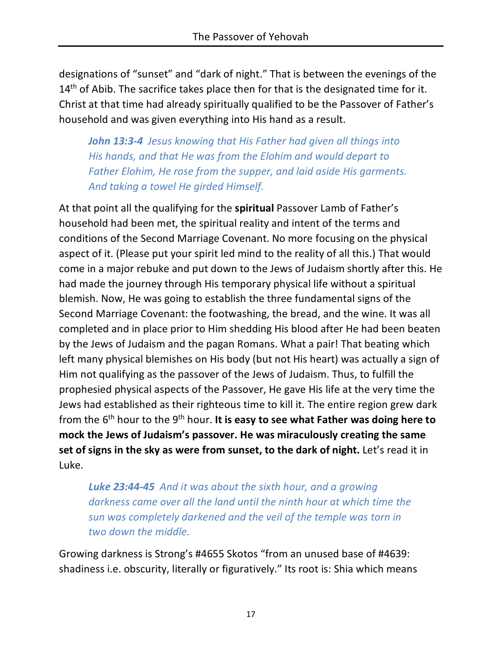designations of "sunset" and "dark of night." That is between the evenings of the  $14<sup>th</sup>$  of Abib. The sacrifice takes place then for that is the designated time for it. Christ at that time had already spiritually qualified to be the Passover of Father's household and was given everything into His hand as a result.

*John 13:3-4 Jesus knowing that His Father had given all things into His hands, and that He was from the Elohim and would depart to Father Elohim, He rose from the supper, and laid aside His garments. And taking a towel He girded Himself.*

At that point all the qualifying for the **spiritual** Passover Lamb of Father's household had been met, the spiritual reality and intent of the terms and conditions of the Second Marriage Covenant. No more focusing on the physical aspect of it. (Please put your spirit led mind to the reality of all this.) That would come in a major rebuke and put down to the Jews of Judaism shortly after this. He had made the journey through His temporary physical life without a spiritual blemish. Now, He was going to establish the three fundamental signs of the Second Marriage Covenant: the footwashing, the bread, and the wine. It was all completed and in place prior to Him shedding His blood after He had been beaten by the Jews of Judaism and the pagan Romans. What a pair! That beating which left many physical blemishes on His body (but not His heart) was actually a sign of Him not qualifying as the passover of the Jews of Judaism. Thus, to fulfill the prophesied physical aspects of the Passover, He gave His life at the very time the Jews had established as their righteous time to kill it. The entire region grew dark from the 6th hour to the 9th hour. **It is easy to see what Father was doing here to mock the Jews of Judaism's passover. He was miraculously creating the same set of signs in the sky as were from sunset, to the dark of night.** Let's read it in Luke.

*Luke 23:44-45 And it was about the sixth hour, and a growing darkness came over all the land until the ninth hour at which time the sun was completely darkened and the veil of the temple was torn in two down the middle.*

Growing darkness is Strong's #4655 Skotos "from an unused base of #4639: shadiness i.e. obscurity, literally or figuratively." Its root is: Shia which means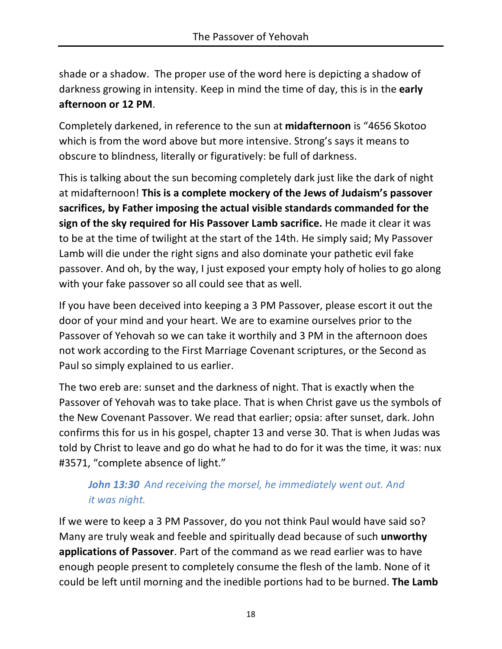shade or a shadow. The proper use of the word here is depicting a shadow of darkness growing in intensity. Keep in mind the time of day, this is in the **early afternoon or 12 PM**.

Completely darkened, in reference to the sun at **midafternoon** is "4656 Skotoo which is from the word above but more intensive. Strong's says it means to obscure to blindness, literally or figuratively: be full of darkness.

This is talking about the sun becoming completely dark just like the dark of night at midafternoon! **This is a complete mockery of the Jews of Judaism's passover sacrifices, by Father imposing the actual visible standards commanded for the sign of the sky required for His Passover Lamb sacrifice.** He made it clear it was to be at the time of twilight at the start of the 14th. He simply said; My Passover Lamb will die under the right signs and also dominate your pathetic evil fake passover. And oh, by the way, I just exposed your empty holy of holies to go along with your fake passover so all could see that as well.

If you have been deceived into keeping a 3 PM Passover, please escort it out the door of your mind and your heart. We are to examine ourselves prior to the Passover of Yehovah so we can take it worthily and 3 PM in the afternoon does not work according to the First Marriage Covenant scriptures, or the Second as Paul so simply explained to us earlier.

The two ereb are: sunset and the darkness of night. That is exactly when the Passover of Yehovah was to take place. That is when Christ gave us the symbols of the New Covenant Passover. We read that earlier; opsia: after sunset, dark. John confirms this for us in his gospel, chapter 13 and verse 30. That is when Judas was told by Christ to leave and go do what he had to do for it was the time, it was: nux #3571, "complete absence of light."

# *John 13:30 And receiving the morsel, he immediately went out. And it was night.*

If we were to keep a 3 PM Passover, do you not think Paul would have said so? Many are truly weak and feeble and spiritually dead because of such **unworthy applications of Passover**. Part of the command as we read earlier was to have enough people present to completely consume the flesh of the lamb. None of it could be left until morning and the inedible portions had to be burned. **The Lamb**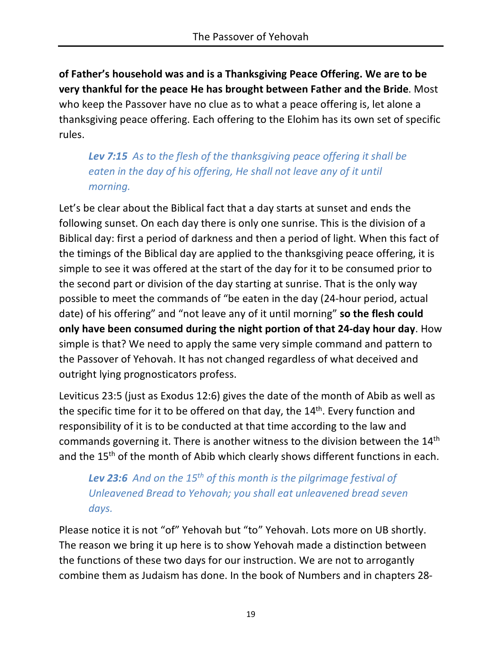**of Father's household was and is a Thanksgiving Peace Offering. We are to be very thankful for the peace He has brought between Father and the Bride**. Most who keep the Passover have no clue as to what a peace offering is, let alone a thanksgiving peace offering. Each offering to the Elohim has its own set of specific rules.

*Lev 7:15 As to the flesh of the thanksgiving peace offering it shall be eaten in the day of his offering, He shall not leave any of it until morning.*

Let's be clear about the Biblical fact that a day starts at sunset and ends the following sunset. On each day there is only one sunrise. This is the division of a Biblical day: first a period of darkness and then a period of light. When this fact of the timings of the Biblical day are applied to the thanksgiving peace offering, it is simple to see it was offered at the start of the day for it to be consumed prior to the second part or division of the day starting at sunrise. That is the only way possible to meet the commands of "be eaten in the day (24-hour period, actual date) of his offering" and "not leave any of it until morning" **so the flesh could only have been consumed during the night portion of that 24-day hour day**. How simple is that? We need to apply the same very simple command and pattern to the Passover of Yehovah. It has not changed regardless of what deceived and outright lying prognosticators profess.

Leviticus 23:5 (just as Exodus 12:6) gives the date of the month of Abib as well as the specific time for it to be offered on that day, the  $14<sup>th</sup>$ . Every function and responsibility of it is to be conducted at that time according to the law and commands governing it. There is another witness to the division between the 14th and the 15<sup>th</sup> of the month of Abib which clearly shows different functions in each.

*Lev 23:6 And on the 15th of this month is the pilgrimage festival of Unleavened Bread to Yehovah; you shall eat unleavened bread seven days.*

Please notice it is not "of" Yehovah but "to" Yehovah. Lots more on UB shortly. The reason we bring it up here is to show Yehovah made a distinction between the functions of these two days for our instruction. We are not to arrogantly combine them as Judaism has done. In the book of Numbers and in chapters 28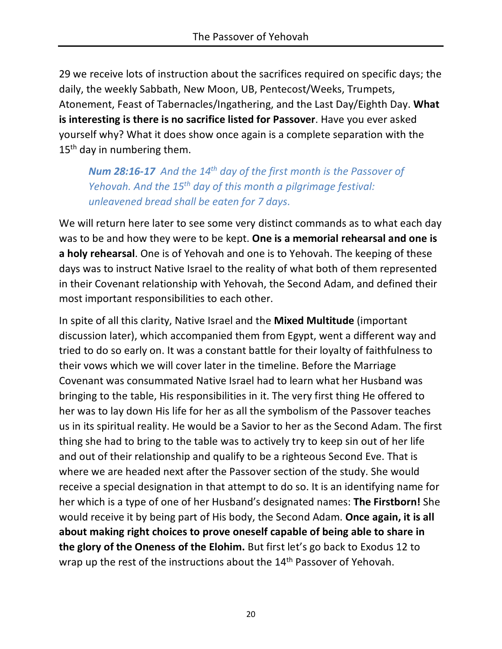29 we receive lots of instruction about the sacrifices required on specific days; the daily, the weekly Sabbath, New Moon, UB, Pentecost/Weeks, Trumpets, Atonement, Feast of Tabernacles/Ingathering, and the Last Day/Eighth Day. **What is interesting is there is no sacrifice listed for Passover**. Have you ever asked yourself why? What it does show once again is a complete separation with the 15<sup>th</sup> day in numbering them.

*Num 28:16-17 And the 14th day of the first month is the Passover of Yehovah. And the 15th day of this month a pilgrimage festival: unleavened bread shall be eaten for 7 days.*

We will return here later to see some very distinct commands as to what each day was to be and how they were to be kept. **One is a memorial rehearsal and one is a holy rehearsal**. One is of Yehovah and one is to Yehovah. The keeping of these days was to instruct Native Israel to the reality of what both of them represented in their Covenant relationship with Yehovah, the Second Adam, and defined their most important responsibilities to each other.

In spite of all this clarity, Native Israel and the **Mixed Multitude** (important discussion later), which accompanied them from Egypt, went a different way and tried to do so early on. It was a constant battle for their loyalty of faithfulness to their vows which we will cover later in the timeline. Before the Marriage Covenant was consummated Native Israel had to learn what her Husband was bringing to the table, His responsibilities in it. The very first thing He offered to her was to lay down His life for her as all the symbolism of the Passover teaches us in its spiritual reality. He would be a Savior to her as the Second Adam. The first thing she had to bring to the table was to actively try to keep sin out of her life and out of their relationship and qualify to be a righteous Second Eve. That is where we are headed next after the Passover section of the study. She would receive a special designation in that attempt to do so. It is an identifying name for her which is a type of one of her Husband's designated names: **The Firstborn!** She would receive it by being part of His body, the Second Adam. **Once again, it is all about making right choices to prove oneself capable of being able to share in the glory of the Oneness of the Elohim.** But first let's go back to Exodus 12 to wrap up the rest of the instructions about the 14<sup>th</sup> Passover of Yehovah.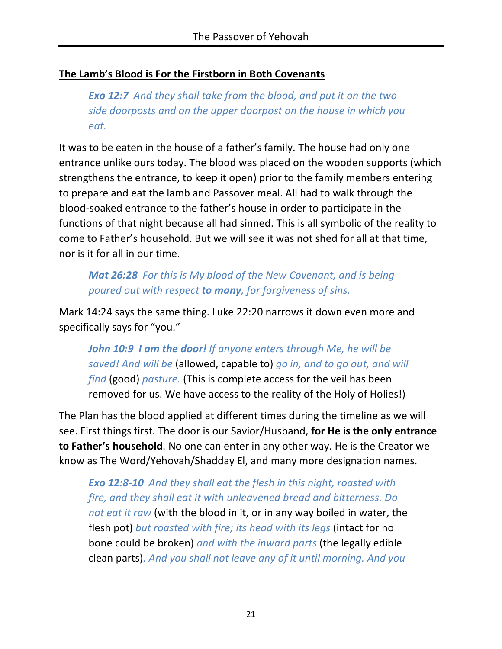#### **The Lamb's Blood is For the Firstborn in Both Covenants**

*Exo 12:7 And they shall take from the blood, and put it on the two side doorposts and on the upper doorpost on the house in which you eat.*

It was to be eaten in the house of a father's family. The house had only one entrance unlike ours today. The blood was placed on the wooden supports (which strengthens the entrance, to keep it open) prior to the family members entering to prepare and eat the lamb and Passover meal. All had to walk through the blood-soaked entrance to the father's house in order to participate in the functions of that night because all had sinned. This is all symbolic of the reality to come to Father's household. But we will see it was not shed for all at that time, nor is it for all in our time.

*Mat 26:28 For this is My blood of the New Covenant, and is being poured out with respect to many, for forgiveness of sins.*

Mark 14:24 says the same thing. Luke 22:20 narrows it down even more and specifically says for "you."

*John 10:9 I am the door! If anyone enters through Me, he will be saved! And will be* (allowed, capable to) *go in, and to go out, and will find* (good) *pasture.* (This is complete access for the veil has been removed for us. We have access to the reality of the Holy of Holies!)

The Plan has the blood applied at different times during the timeline as we will see. First things first. The door is our Savior/Husband, **for He is the only entrance to Father's household**. No one can enter in any other way. He is the Creator we know as The Word/Yehovah/Shadday El, and many more designation names.

*Exo 12:8-10 And they shall eat the flesh in this night, roasted with fire, and they shall eat it with unleavened bread and bitterness. Do not eat it raw* (with the blood in it, or in any way boiled in water, the flesh pot) *but roasted with fire; its head with its legs* (intact for no bone could be broken) *and with the inward parts* (the legally edible clean parts)*. And you shall not leave any of it until morning. And you*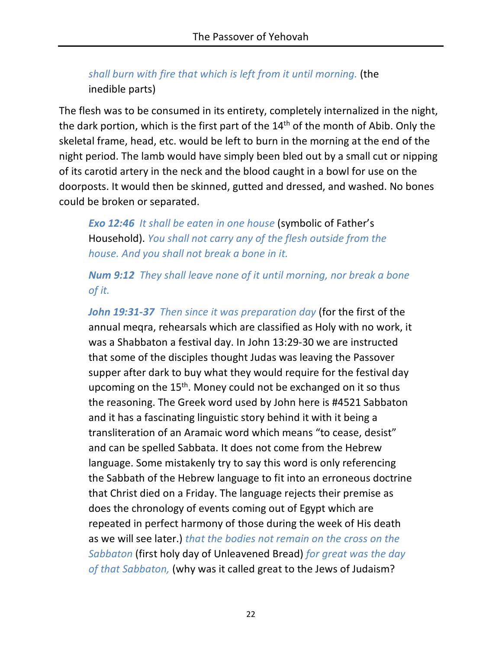*shall burn with fire that which is left from it until morning.* (the inedible parts)

The flesh was to be consumed in its entirety, completely internalized in the night, the dark portion, which is the first part of the  $14<sup>th</sup>$  of the month of Abib. Only the skeletal frame, head, etc. would be left to burn in the morning at the end of the night period. The lamb would have simply been bled out by a small cut or nipping of its carotid artery in the neck and the blood caught in a bowl for use on the doorposts. It would then be skinned, gutted and dressed, and washed. No bones could be broken or separated.

*Exo 12:46 It shall be eaten in one house* (symbolic of Father's Household). *You shall not carry any of the flesh outside from the house. And you shall not break a bone in it.*

*Num 9:12 They shall leave none of it until morning, nor break a bone of it.*

*John 19:31-37 Then since it was preparation day* (for the first of the annual meqra, rehearsals which are classified as Holy with no work, it was a Shabbaton a festival day. In John 13:29-30 we are instructed that some of the disciples thought Judas was leaving the Passover supper after dark to buy what they would require for the festival day upcoming on the 15<sup>th</sup>. Money could not be exchanged on it so thus the reasoning. The Greek word used by John here is #4521 Sabbaton and it has a fascinating linguistic story behind it with it being a transliteration of an Aramaic word which means "to cease, desist" and can be spelled Sabbata. It does not come from the Hebrew language. Some mistakenly try to say this word is only referencing the Sabbath of the Hebrew language to fit into an erroneous doctrine that Christ died on a Friday. The language rejects their premise as does the chronology of events coming out of Egypt which are repeated in perfect harmony of those during the week of His death as we will see later.) *that the bodies not remain on the cross on the Sabbaton* (first holy day of Unleavened Bread) *for great was the day of that Sabbaton,* (why was it called great to the Jews of Judaism?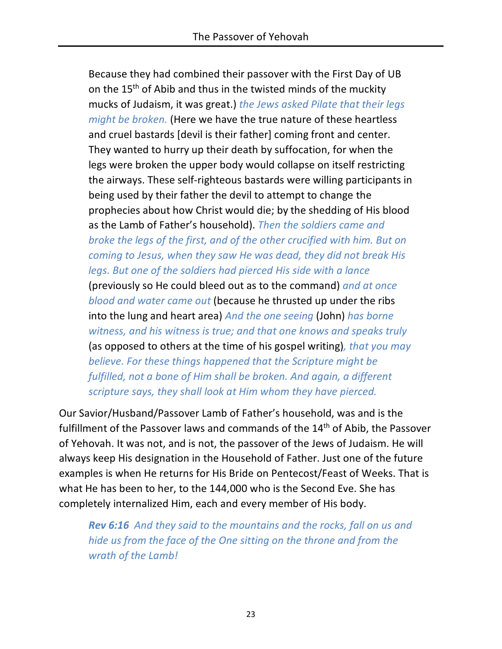Because they had combined their passover with the First Day of UB on the 15<sup>th</sup> of Abib and thus in the twisted minds of the muckity mucks of Judaism, it was great.) *the Jews asked Pilate that their legs might be broken.* (Here we have the true nature of these heartless and cruel bastards [devil is their father] coming front and center. They wanted to hurry up their death by suffocation, for when the legs were broken the upper body would collapse on itself restricting the airways. These self-righteous bastards were willing participants in being used by their father the devil to attempt to change the prophecies about how Christ would die; by the shedding of His blood as the Lamb of Father's household). *Then the soldiers came and broke the legs of the first, and of the other crucified with him. But on coming to Jesus, when they saw He was dead, they did not break His legs. But one of the soldiers had pierced His side with a lance*  (previously so He could bleed out as to the command) *and at once blood and water came out* (because he thrusted up under the ribs into the lung and heart area) *And the one seeing* (John) *has borne witness, and his witness is true; and that one knows and speaks truly*  (as opposed to others at the time of his gospel writing)*, that you may believe. For these things happened that the Scripture might be fulfilled, not a bone of Him shall be broken. And again, a different scripture says, they shall look at Him whom they have pierced.*

Our Savior/Husband/Passover Lamb of Father's household, was and is the fulfillment of the Passover laws and commands of the 14<sup>th</sup> of Abib, the Passover of Yehovah. It was not, and is not, the passover of the Jews of Judaism. He will always keep His designation in the Household of Father. Just one of the future examples is when He returns for His Bride on Pentecost/Feast of Weeks. That is what He has been to her, to the 144,000 who is the Second Eve. She has completely internalized Him, each and every member of His body.

*Rev 6:16 And they said to the mountains and the rocks, fall on us and hide us from the face of the One sitting on the throne and from the wrath of the Lamb!*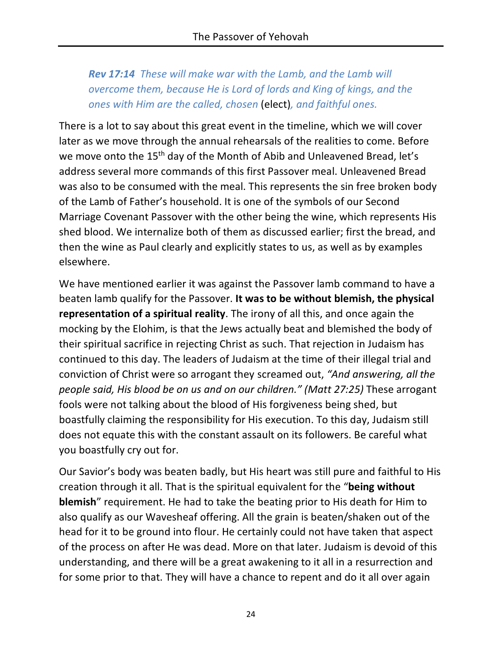*Rev 17:14 These will make war with the Lamb, and the Lamb will overcome them, because He is Lord of lords and King of kings, and the ones with Him are the called, chosen* (elect)*, and faithful ones.*

There is a lot to say about this great event in the timeline, which we will cover later as we move through the annual rehearsals of the realities to come. Before we move onto the 15<sup>th</sup> day of the Month of Abib and Unleavened Bread, let's address several more commands of this first Passover meal. Unleavened Bread was also to be consumed with the meal. This represents the sin free broken body of the Lamb of Father's household. It is one of the symbols of our Second Marriage Covenant Passover with the other being the wine, which represents His shed blood. We internalize both of them as discussed earlier; first the bread, and then the wine as Paul clearly and explicitly states to us, as well as by examples elsewhere.

We have mentioned earlier it was against the Passover lamb command to have a beaten lamb qualify for the Passover. **It was to be without blemish, the physical representation of a spiritual reality**. The irony of all this, and once again the mocking by the Elohim, is that the Jews actually beat and blemished the body of their spiritual sacrifice in rejecting Christ as such. That rejection in Judaism has continued to this day. The leaders of Judaism at the time of their illegal trial and conviction of Christ were so arrogant they screamed out, *"And answering, all the people said, His blood be on us and on our children." (Matt 27:25)* These arrogant fools were not talking about the blood of His forgiveness being shed, but boastfully claiming the responsibility for His execution. To this day, Judaism still does not equate this with the constant assault on its followers. Be careful what you boastfully cry out for.

Our Savior's body was beaten badly, but His heart was still pure and faithful to His creation through it all. That is the spiritual equivalent for the "**being without blemish**" requirement. He had to take the beating prior to His death for Him to also qualify as our Wavesheaf offering. All the grain is beaten/shaken out of the head for it to be ground into flour. He certainly could not have taken that aspect of the process on after He was dead. More on that later. Judaism is devoid of this understanding, and there will be a great awakening to it all in a resurrection and for some prior to that. They will have a chance to repent and do it all over again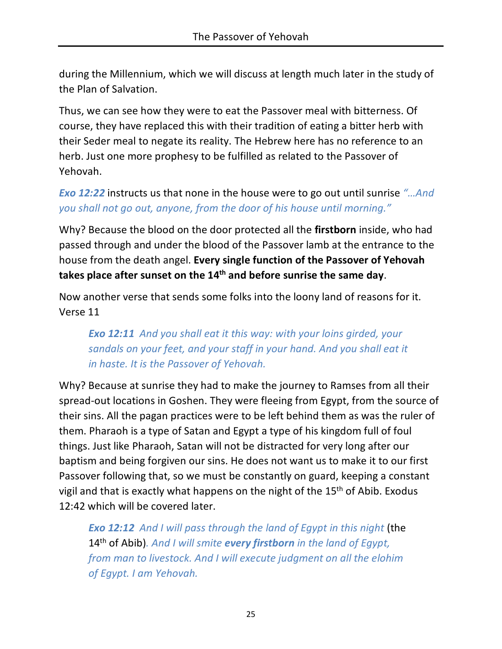during the Millennium, which we will discuss at length much later in the study of the Plan of Salvation.

Thus, we can see how they were to eat the Passover meal with bitterness. Of course, they have replaced this with their tradition of eating a bitter herb with their Seder meal to negate its reality. The Hebrew here has no reference to an herb. Just one more prophesy to be fulfilled as related to the Passover of Yehovah.

*Exo 12:22* instructs us that none in the house were to go out until sunrise *"…And you shall not go out, anyone, from the door of his house until morning."*

Why? Because the blood on the door protected all the **firstborn** inside, who had passed through and under the blood of the Passover lamb at the entrance to the house from the death angel. **Every single function of the Passover of Yehovah takes place after sunset on the 14th and before sunrise the same day**.

Now another verse that sends some folks into the loony land of reasons for it. Verse 11

*Exo 12:11 And you shall eat it this way: with your loins girded, your sandals on your feet, and your staff in your hand. And you shall eat it in haste. It is the Passover of Yehovah.*

Why? Because at sunrise they had to make the journey to Ramses from all their spread-out locations in Goshen. They were fleeing from Egypt, from the source of their sins. All the pagan practices were to be left behind them as was the ruler of them. Pharaoh is a type of Satan and Egypt a type of his kingdom full of foul things. Just like Pharaoh, Satan will not be distracted for very long after our baptism and being forgiven our sins. He does not want us to make it to our first Passover following that, so we must be constantly on guard, keeping a constant vigil and that is exactly what happens on the night of the 15<sup>th</sup> of Abib. Exodus 12:42 which will be covered later.

**Exo 12:12** And I will pass through the land of Egypt in this night (the 14th of Abib)*. And I will smite every firstborn in the land of Egypt, from man to livestock. And I will execute judgment on all the elohim of Egypt. I am Yehovah.*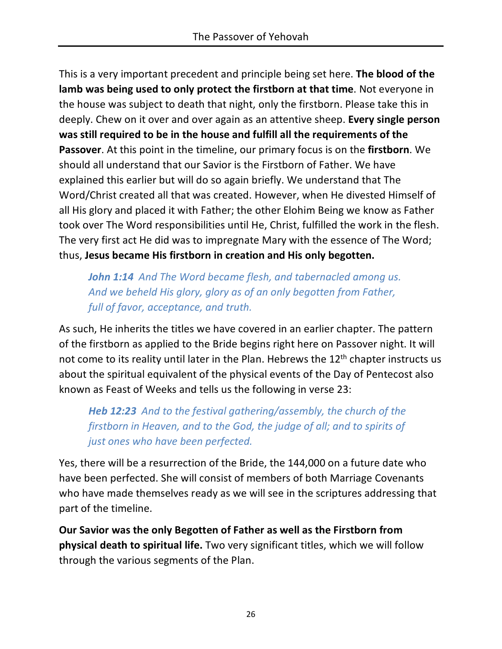This is a very important precedent and principle being set here. **The blood of the lamb was being used to only protect the firstborn at that time**. Not everyone in the house was subject to death that night, only the firstborn. Please take this in deeply. Chew on it over and over again as an attentive sheep. **Every single person was still required to be in the house and fulfill all the requirements of the Passover**. At this point in the timeline, our primary focus is on the **firstborn**. We should all understand that our Savior is the Firstborn of Father. We have explained this earlier but will do so again briefly. We understand that The Word/Christ created all that was created. However, when He divested Himself of all His glory and placed it with Father; the other Elohim Being we know as Father took over The Word responsibilities until He, Christ, fulfilled the work in the flesh. The very first act He did was to impregnate Mary with the essence of The Word; thus, **Jesus became His firstborn in creation and His only begotten.**

*John 1:14 And The Word became flesh, and tabernacled among us. And we beheld His glory, glory as of an only begotten from Father, full of favor, acceptance, and truth.*

As such, He inherits the titles we have covered in an earlier chapter. The pattern of the firstborn as applied to the Bride begins right here on Passover night. It will not come to its reality until later in the Plan. Hebrews the 12<sup>th</sup> chapter instructs us about the spiritual equivalent of the physical events of the Day of Pentecost also known as Feast of Weeks and tells us the following in verse 23:

*Heb 12:23 And to the festival gathering/assembly, the church of the firstborn in Heaven, and to the God, the judge of all; and to spirits of just ones who have been perfected.*

Yes, there will be a resurrection of the Bride, the 144,000 on a future date who have been perfected. She will consist of members of both Marriage Covenants who have made themselves ready as we will see in the scriptures addressing that part of the timeline.

**Our Savior was the only Begotten of Father as well as the Firstborn from physical death to spiritual life.** Two very significant titles, which we will follow through the various segments of the Plan.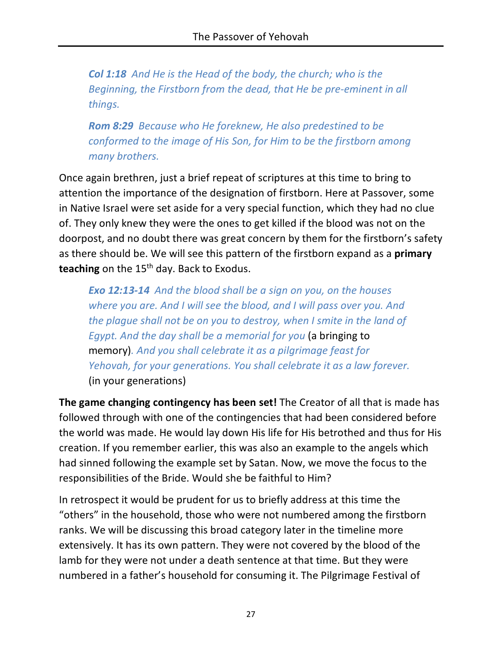*Col 1:18 And He is the Head of the body, the church; who is the Beginning, the Firstborn from the dead, that He be pre-eminent in all things.*

*Rom 8:29 Because who He foreknew, He also predestined to be conformed to the image of His Son, for Him to be the firstborn among many brothers.*

Once again brethren, just a brief repeat of scriptures at this time to bring to attention the importance of the designation of firstborn. Here at Passover, some in Native Israel were set aside for a very special function, which they had no clue of. They only knew they were the ones to get killed if the blood was not on the doorpost, and no doubt there was great concern by them for the firstborn's safety as there should be. We will see this pattern of the firstborn expand as a **primary**  teaching on the 15<sup>th</sup> day. Back to Exodus.

*Exo 12:13-14 And the blood shall be a sign on you, on the houses where you are. And I will see the blood, and I will pass over you. And the plague shall not be on you to destroy, when I smite in the land of Egypt. And the day shall be a memorial for you* (a bringing to memory)*. And you shall celebrate it as a pilgrimage feast for Yehovah, for your generations. You shall celebrate it as a law forever.*  (in your generations)

**The game changing contingency has been set!** The Creator of all that is made has followed through with one of the contingencies that had been considered before the world was made. He would lay down His life for His betrothed and thus for His creation. If you remember earlier, this was also an example to the angels which had sinned following the example set by Satan. Now, we move the focus to the responsibilities of the Bride. Would she be faithful to Him?

In retrospect it would be prudent for us to briefly address at this time the "others" in the household, those who were not numbered among the firstborn ranks. We will be discussing this broad category later in the timeline more extensively. It has its own pattern. They were not covered by the blood of the lamb for they were not under a death sentence at that time. But they were numbered in a father's household for consuming it. The Pilgrimage Festival of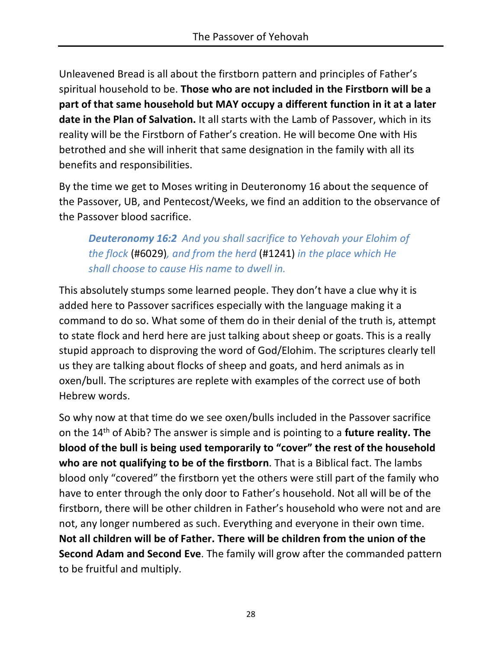Unleavened Bread is all about the firstborn pattern and principles of Father's spiritual household to be. **Those who are not included in the Firstborn will be a part of that same household but MAY occupy a different function in it at a later date in the Plan of Salvation.** It all starts with the Lamb of Passover, which in its reality will be the Firstborn of Father's creation. He will become One with His betrothed and she will inherit that same designation in the family with all its benefits and responsibilities.

By the time we get to Moses writing in Deuteronomy 16 about the sequence of the Passover, UB, and Pentecost/Weeks, we find an addition to the observance of the Passover blood sacrifice.

*Deuteronomy 16:2 And you shall sacrifice to Yehovah your Elohim of the flock* (#6029)*, and from the herd* (#1241) *in the place which He shall choose to cause His name to dwell in.*

This absolutely stumps some learned people. They don't have a clue why it is added here to Passover sacrifices especially with the language making it a command to do so. What some of them do in their denial of the truth is, attempt to state flock and herd here are just talking about sheep or goats. This is a really stupid approach to disproving the word of God/Elohim. The scriptures clearly tell us they are talking about flocks of sheep and goats, and herd animals as in oxen/bull. The scriptures are replete with examples of the correct use of both Hebrew words.

So why now at that time do we see oxen/bulls included in the Passover sacrifice on the 14th of Abib? The answer is simple and is pointing to a **future reality. The blood of the bull is being used temporarily to "cover" the rest of the household who are not qualifying to be of the firstborn**. That is a Biblical fact. The lambs blood only "covered" the firstborn yet the others were still part of the family who have to enter through the only door to Father's household. Not all will be of the firstborn, there will be other children in Father's household who were not and are not, any longer numbered as such. Everything and everyone in their own time. **Not all children will be of Father. There will be children from the union of the Second Adam and Second Eve**. The family will grow after the commanded pattern to be fruitful and multiply.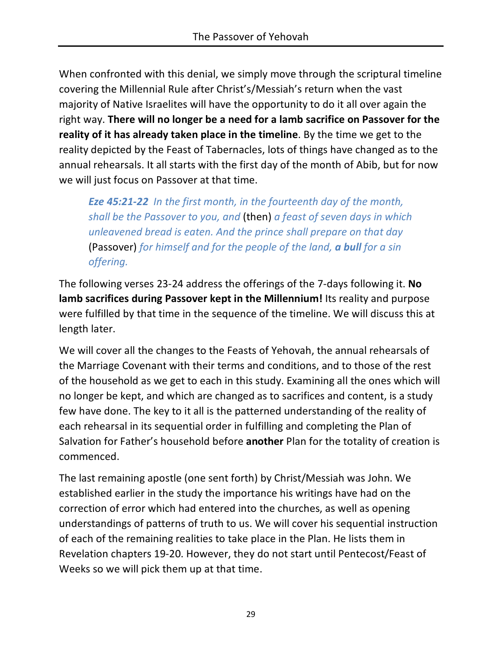When confronted with this denial, we simply move through the scriptural timeline covering the Millennial Rule after Christ's/Messiah's return when the vast majority of Native Israelites will have the opportunity to do it all over again the right way. **There will no longer be a need for a lamb sacrifice on Passover for the reality of it has already taken place in the timeline**. By the time we get to the reality depicted by the Feast of Tabernacles, lots of things have changed as to the annual rehearsals. It all starts with the first day of the month of Abib, but for now we will just focus on Passover at that time.

*Eze 45:21-22 In the first month, in the fourteenth day of the month, shall be the Passover to you, and* (then) *a feast of seven days in which unleavened bread is eaten. And the prince shall prepare on that day*  (Passover) *for himself and for the people of the land, a bull for a sin offering.*

The following verses 23-24 address the offerings of the 7-days following it. **No lamb sacrifices during Passover kept in the Millennium!** Its reality and purpose were fulfilled by that time in the sequence of the timeline. We will discuss this at length later.

We will cover all the changes to the Feasts of Yehovah, the annual rehearsals of the Marriage Covenant with their terms and conditions, and to those of the rest of the household as we get to each in this study. Examining all the ones which will no longer be kept, and which are changed as to sacrifices and content, is a study few have done. The key to it all is the patterned understanding of the reality of each rehearsal in its sequential order in fulfilling and completing the Plan of Salvation for Father's household before **another** Plan for the totality of creation is commenced.

The last remaining apostle (one sent forth) by Christ/Messiah was John. We established earlier in the study the importance his writings have had on the correction of error which had entered into the churches, as well as opening understandings of patterns of truth to us. We will cover his sequential instruction of each of the remaining realities to take place in the Plan. He lists them in Revelation chapters 19-20. However, they do not start until Pentecost/Feast of Weeks so we will pick them up at that time.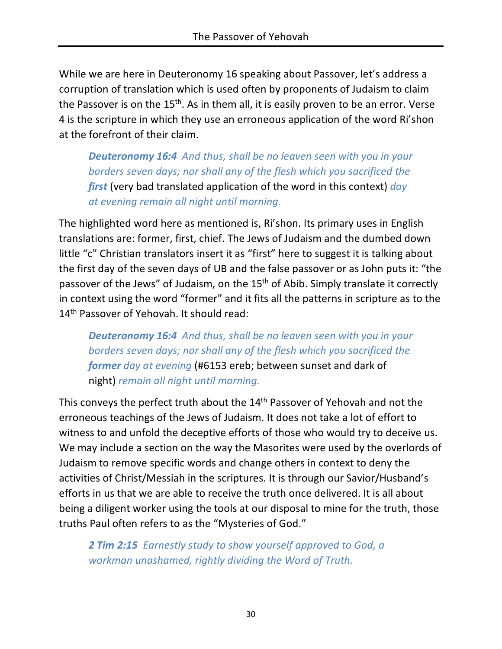While we are here in Deuteronomy 16 speaking about Passover, let's address a corruption of translation which is used often by proponents of Judaism to claim the Passover is on the 15<sup>th</sup>. As in them all, it is easily proven to be an error. Verse 4 is the scripture in which they use an erroneous application of the word Ri'shon at the forefront of their claim.

*Deuteronomy 16:4 And thus, shall be no leaven seen with you in your borders seven days; nor shall any of the flesh which you sacrificed the first* (very bad translated application of the word in this context) *day at evening remain all night until morning.*

The highlighted word here as mentioned is, Ri'shon. Its primary uses in English translations are: former, first, chief. The Jews of Judaism and the dumbed down little "c" Christian translators insert it as "first" here to suggest it is talking about the first day of the seven days of UB and the false passover or as John puts it: "the passover of the Jews" of Judaism, on the 15<sup>th</sup> of Abib. Simply translate it correctly in context using the word "former" and it fits all the patterns in scripture as to the 14<sup>th</sup> Passover of Yehovah. It should read:

*Deuteronomy 16:4 And thus, shall be no leaven seen with you in your borders seven days; nor shall any of the flesh which you sacrificed the former day at evening* (#6153 ereb; between sunset and dark of night) *remain all night until morning.*

This conveys the perfect truth about the 14<sup>th</sup> Passover of Yehovah and not the erroneous teachings of the Jews of Judaism. It does not take a lot of effort to witness to and unfold the deceptive efforts of those who would try to deceive us. We may include a section on the way the Masorites were used by the overlords of Judaism to remove specific words and change others in context to deny the activities of Christ/Messiah in the scriptures. It is through our Savior/Husband's efforts in us that we are able to receive the truth once delivered. It is all about being a diligent worker using the tools at our disposal to mine for the truth, those truths Paul often refers to as the "Mysteries of God."

*2 Tim 2:15 Earnestly study to show yourself approved to God, a workman unashamed, rightly dividing the Word of Truth.*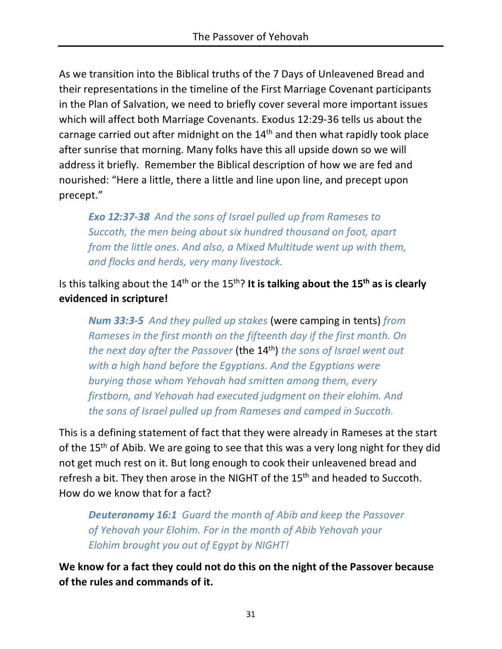As we transition into the Biblical truths of the 7 Days of Unleavened Bread and their representations in the timeline of the First Marriage Covenant participants in the Plan of Salvation, we need to briefly cover several more important issues which will affect both Marriage Covenants. Exodus 12:29-36 tells us about the carnage carried out after midnight on the 14<sup>th</sup> and then what rapidly took place after sunrise that morning. Many folks have this all upside down so we will address it briefly. Remember the Biblical description of how we are fed and nourished: "Here a little, there a little and line upon line, and precept upon precept."

*Exo 12:37-38 And the sons of Israel pulled up from Rameses to Succoth, the men being about six hundred thousand on foot, apart from the little ones. And also, a Mixed Multitude went up with them, and flocks and herds, very many livestock.*

Is this talking about the 14th or the 15th? **It is talking about the 15th as is clearly evidenced in scripture!**

*Num 33:3-5 And they pulled up stakes* (were camping in tents) *from Rameses in the first month on the fifteenth day if the first month. On the next day after the Passover* (the 14th) *the sons of Israel went out with a high hand before the Egyptians. And the Egyptians were burying those whom Yehovah had smitten among them, every firstborn, and Yehovah had executed judgment on their elohim. And the sons of Israel pulled up from Rameses and camped in Succoth.*

This is a defining statement of fact that they were already in Rameses at the start of the 15<sup>th</sup> of Abib. We are going to see that this was a very long night for they did not get much rest on it. But long enough to cook their unleavened bread and refresh a bit. They then arose in the NIGHT of the 15<sup>th</sup> and headed to Succoth. How do we know that for a fact?

*Deuteronomy 16:1 Guard the month of Abib and keep the Passover of Yehovah your Elohim. For in the month of Abib Yehovah your Elohim brought you out of Egypt by NIGHT!*

**We know for a fact they could not do this on the night of the Passover because of the rules and commands of it.**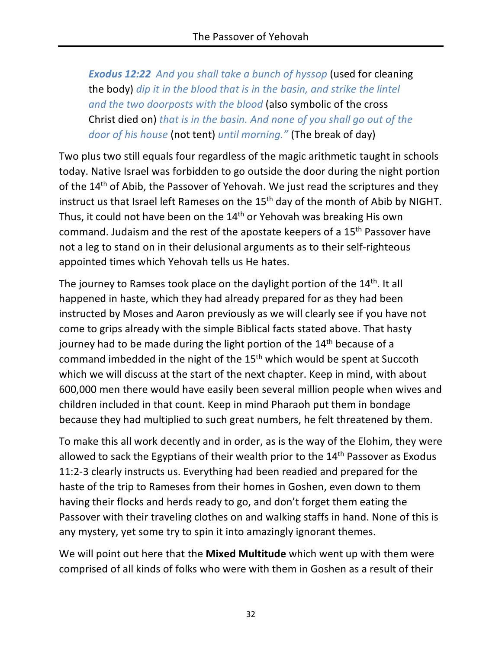*Exodus 12:22 And you shall take a bunch of hyssop* (used for cleaning the body) *dip it in the blood that is in the basin, and strike the lintel and the two doorposts with the blood* (also symbolic of the cross Christ died on) *that is in the basin. And none of you shall go out of the door of his house* (not tent) *until morning."* (The break of day)

Two plus two still equals four regardless of the magic arithmetic taught in schools today. Native Israel was forbidden to go outside the door during the night portion of the 14<sup>th</sup> of Abib, the Passover of Yehovah. We just read the scriptures and they instruct us that Israel left Rameses on the 15<sup>th</sup> day of the month of Abib by NIGHT. Thus, it could not have been on the 14<sup>th</sup> or Yehovah was breaking His own command. Judaism and the rest of the apostate keepers of a 15th Passover have not a leg to stand on in their delusional arguments as to their self-righteous appointed times which Yehovah tells us He hates.

The journey to Ramses took place on the daylight portion of the 14<sup>th</sup>. It all happened in haste, which they had already prepared for as they had been instructed by Moses and Aaron previously as we will clearly see if you have not come to grips already with the simple Biblical facts stated above. That hasty journey had to be made during the light portion of the  $14<sup>th</sup>$  because of a command imbedded in the night of the 15th which would be spent at Succoth which we will discuss at the start of the next chapter. Keep in mind, with about 600,000 men there would have easily been several million people when wives and children included in that count. Keep in mind Pharaoh put them in bondage because they had multiplied to such great numbers, he felt threatened by them.

To make this all work decently and in order, as is the way of the Elohim, they were allowed to sack the Egyptians of their wealth prior to the 14<sup>th</sup> Passover as Exodus 11:2-3 clearly instructs us. Everything had been readied and prepared for the haste of the trip to Rameses from their homes in Goshen, even down to them having their flocks and herds ready to go, and don't forget them eating the Passover with their traveling clothes on and walking staffs in hand. None of this is any mystery, yet some try to spin it into amazingly ignorant themes.

We will point out here that the **Mixed Multitude** which went up with them were comprised of all kinds of folks who were with them in Goshen as a result of their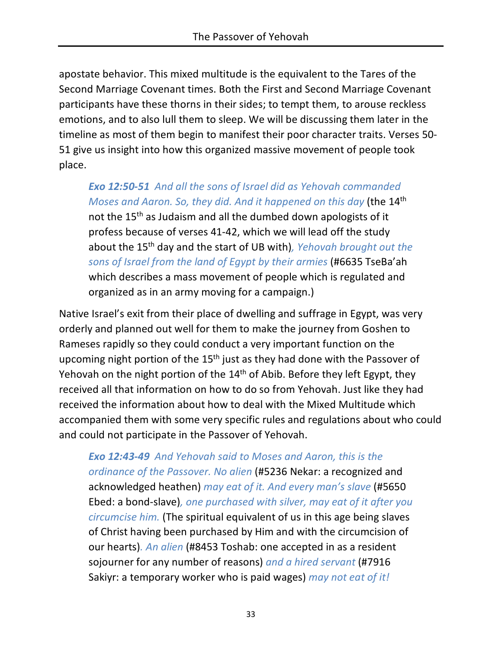apostate behavior. This mixed multitude is the equivalent to the Tares of the Second Marriage Covenant times. Both the First and Second Marriage Covenant participants have these thorns in their sides; to tempt them, to arouse reckless emotions, and to also lull them to sleep. We will be discussing them later in the timeline as most of them begin to manifest their poor character traits. Verses 50- 51 give us insight into how this organized massive movement of people took place.

*Exo 12:50-51 And all the sons of Israel did as Yehovah commanded Moses and Aaron. So, they did. And it happened on this day* (the 14th not the 15th as Judaism and all the dumbed down apologists of it profess because of verses 41-42, which we will lead off the study about the 15th day and the start of UB with)*, Yehovah brought out the sons of Israel from the land of Egypt by their armies* (#6635 TseBa'ah which describes a mass movement of people which is regulated and organized as in an army moving for a campaign.)

Native Israel's exit from their place of dwelling and suffrage in Egypt, was very orderly and planned out well for them to make the journey from Goshen to Rameses rapidly so they could conduct a very important function on the upcoming night portion of the 15<sup>th</sup> just as they had done with the Passover of Yehovah on the night portion of the 14<sup>th</sup> of Abib. Before they left Egypt, they received all that information on how to do so from Yehovah. Just like they had received the information about how to deal with the Mixed Multitude which accompanied them with some very specific rules and regulations about who could and could not participate in the Passover of Yehovah.

*Exo 12:43-49 And Yehovah said to Moses and Aaron, this is the ordinance of the Passover. No alien* (#5236 Nekar: a recognized and acknowledged heathen) *may eat of it. And every man's slave* (#5650 Ebed: a bond-slave)*, one purchased with silver, may eat of it after you circumcise him.* (The spiritual equivalent of us in this age being slaves of Christ having been purchased by Him and with the circumcision of our hearts)*. An alien* (#8453 Toshab: one accepted in as a resident sojourner for any number of reasons) *and a hired servant* (#7916 Sakiyr: a temporary worker who is paid wages) *may not eat of it!*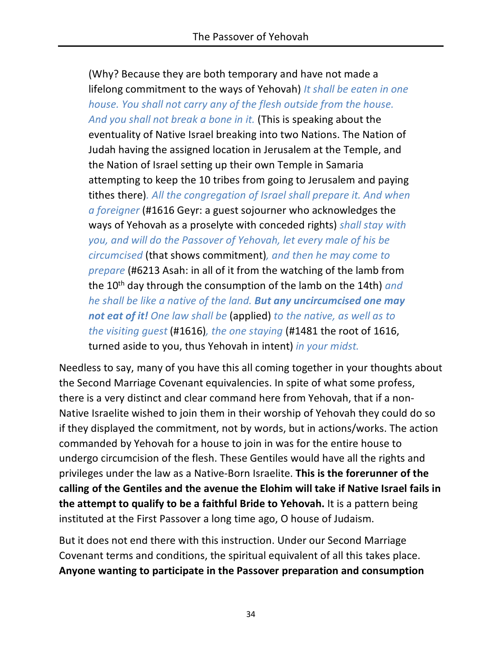(Why? Because they are both temporary and have not made a lifelong commitment to the ways of Yehovah) *It shall be eaten in one house. You shall not carry any of the flesh outside from the house. And you shall not break a bone in it.* (This is speaking about the eventuality of Native Israel breaking into two Nations. The Nation of Judah having the assigned location in Jerusalem at the Temple, and the Nation of Israel setting up their own Temple in Samaria attempting to keep the 10 tribes from going to Jerusalem and paying tithes there)*. All the congregation of Israel shall prepare it. And when a foreigner* (#1616 Geyr: a guest sojourner who acknowledges the ways of Yehovah as a proselyte with conceded rights) *shall stay with you, and will do the Passover of Yehovah, let every male of his be circumcised* (that shows commitment)*, and then he may come to prepare* (#6213 Asah: in all of it from the watching of the lamb from the 10<sup>th</sup> day through the consumption of the lamb on the 14th) *and he shall be like a native of the land. But any uncircumcised one may not eat of it! One law shall be* (applied) *to the native, as well as to the visiting guest* (#1616)*, the one staying* (#1481 the root of 1616, turned aside to you, thus Yehovah in intent) *in your midst.*

Needless to say, many of you have this all coming together in your thoughts about the Second Marriage Covenant equivalencies. In spite of what some profess, there is a very distinct and clear command here from Yehovah, that if a non-Native Israelite wished to join them in their worship of Yehovah they could do so if they displayed the commitment, not by words, but in actions/works. The action commanded by Yehovah for a house to join in was for the entire house to undergo circumcision of the flesh. These Gentiles would have all the rights and privileges under the law as a Native-Born Israelite. **This is the forerunner of the calling of the Gentiles and the avenue the Elohim will take if Native Israel fails in the attempt to qualify to be a faithful Bride to Yehovah.** It is a pattern being instituted at the First Passover a long time ago, O house of Judaism.

But it does not end there with this instruction. Under our Second Marriage Covenant terms and conditions, the spiritual equivalent of all this takes place. **Anyone wanting to participate in the Passover preparation and consumption**